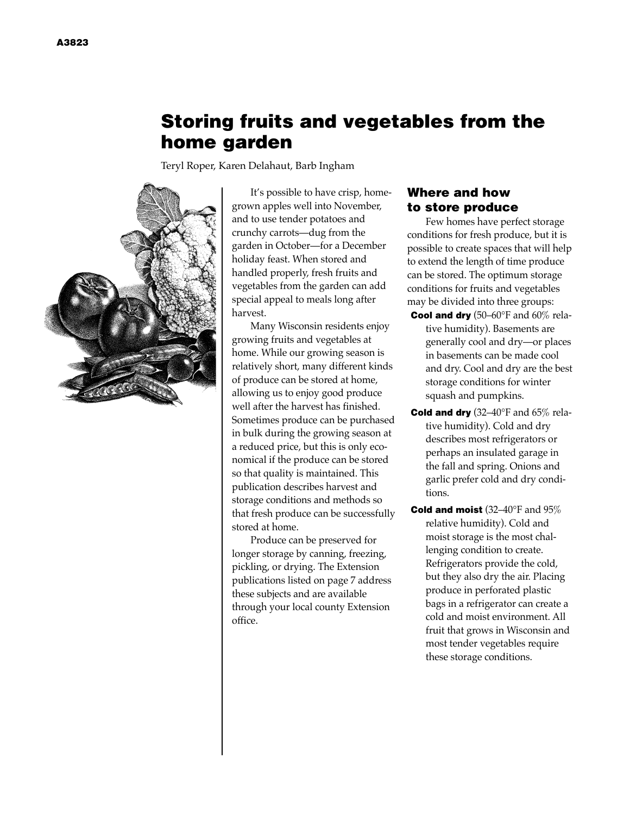# Storing fruits and vegetables from the home garden

Teryl Roper, Karen Delahaut, Barb Ingham



It's possible to have crisp, homegrown apples well into November, and to use tender potatoes and crunchy carrots—dug from the garden in October—for a December holiday feast. When stored and handled properly, fresh fruits and vegetables from the garden can add special appeal to meals long after harvest.

Many Wisconsin residents enjoy growing fruits and vegetables at home. While our growing season is relatively short, many different kinds of produce can be stored at home, allowing us to enjoy good produce well after the harvest has finished. Sometimes produce can be purchased in bulk during the growing season at a reduced price, but this is only economical if the produce can be stored so that quality is maintained. This publication describes harvest and storage conditions and methods so that fresh produce can be successfully stored at home.

Produce can be preserved for longer storage by canning, freezing, pickling, or drying. The Extension publications listed on page 7 address these subjects and are available through your local county Extension office.

# Where and how to store produce

Few homes have perfect storage conditions for fresh produce, but it is possible to create spaces that will help to extend the length of time produce can be stored. The optimum storage conditions for fruits and vegetables may be divided into three groups:

- **Cool and dry** (50–60°F and 60% relative humidity). Basements are generally cool and dry—or places in basements can be made cool and dry. Cool and dry are the best storage conditions for winter squash and pumpkins.
- **Cold and dry** (32–40°F and  $65\%$  relative humidity). Cold and dry describes most refrigerators or perhaps an insulated garage in the fall and spring. Onions and garlic prefer cold and dry conditions.
- Cold and moist (32-40°F and 95% relative humidity). Cold and moist storage is the most challenging condition to create. Refrigerators provide the cold, but they also dry the air. Placing produce in perforated plastic bags in a refrigerator can create a cold and moist environment. All fruit that grows in Wisconsin and most tender vegetables require these storage conditions.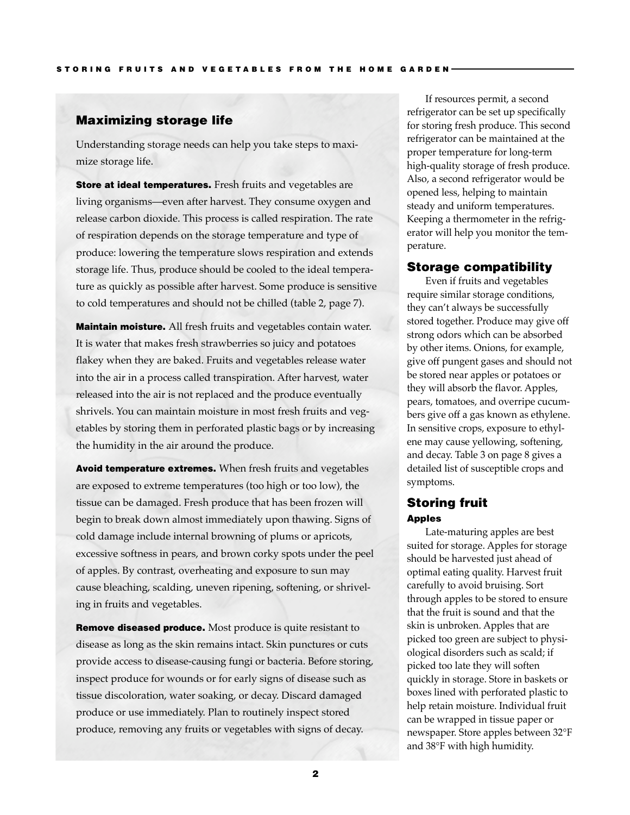## Maximizing storage life

Understanding storage needs can help you take steps to maximize storage life.

**Store at ideal temperatures.** Fresh fruits and vegetables are living organisms—even after harvest. They consume oxygen and release carbon dioxide. This process is called respiration. The rate of respiration depends on the storage temperature and type of produce: lowering the temperature slows respiration and extends storage life. Thus, produce should be cooled to the ideal temperature as quickly as possible after harvest. Some produce is sensitive to cold temperatures and should not be chilled (table 2, page 7).

**Maintain moisture.** All fresh fruits and vegetables contain water. It is water that makes fresh strawberries so juicy and potatoes flakey when they are baked. Fruits and vegetables release water into the air in a process called transpiration. After harvest, water released into the air is not replaced and the produce eventually shrivels. You can maintain moisture in most fresh fruits and vegetables by storing them in perforated plastic bags or by increasing the humidity in the air around the produce.

Avoid temperature extremes. When fresh fruits and vegetables are exposed to extreme temperatures (too high or too low), the tissue can be damaged. Fresh produce that has been frozen will begin to break down almost immediately upon thawing. Signs of cold damage include internal browning of plums or apricots, excessive softness in pears, and brown corky spots under the peel of apples. By contrast, overheating and exposure to sun may cause bleaching, scalding, uneven ripening, softening, or shriveling in fruits and vegetables.

Remove diseased produce. Most produce is quite resistant to disease as long as the skin remains intact. Skin punctures or cuts provide access to disease-causing fungi or bacteria. Before storing, inspect produce for wounds or for early signs of disease such as tissue discoloration, water soaking, or decay. Discard damaged produce or use immediately. Plan to routinely inspect stored produce, removing any fruits or vegetables with signs of decay.

If resources permit, a second refrigerator can be set up specifically for storing fresh produce. This second refrigerator can be maintained at the proper temperature for long-term high-quality storage of fresh produce. Also, a second refrigerator would be opened less, helping to maintain steady and uniform temperatures. Keeping a thermometer in the refrigerator will help you monitor the temperature.

### Storage compatibility

Even if fruits and vegetables require similar storage conditions, they can't always be successfully stored together. Produce may give off strong odors which can be absorbed by other items. Onions, for example, give off pungent gases and should not be stored near apples or potatoes or they will absorb the flavor. Apples, pears, tomatoes, and overripe cucumbers give off a gas known as ethylene. In sensitive crops, exposure to ethylene may cause yellowing, softening, and decay. Table 3 on page 8 gives a detailed list of susceptible crops and symptoms.

# Storing fruit Apples

Late-maturing apples are best suited for storage. Apples for storage should be harvested just ahead of optimal eating quality. Harvest fruit carefully to avoid bruising. Sort through apples to be stored to ensure that the fruit is sound and that the skin is unbroken. Apples that are picked too green are subject to physiological disorders such as scald; if picked too late they will soften quickly in storage. Store in baskets or boxes lined with perforated plastic to help retain moisture. Individual fruit can be wrapped in tissue paper or newspaper. Store apples between 32°F and 38°F with high humidity.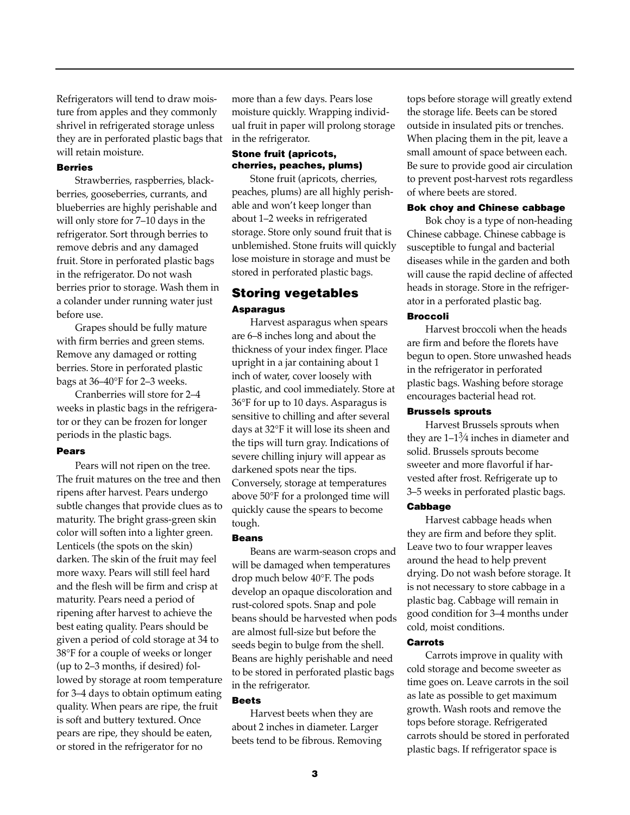Refrigerators will tend to draw moisture from apples and they commonly shrivel in refrigerated storage unless they are in perforated plastic bags that will retain moisture.

## Berries

Strawberries, raspberries, blackberries, gooseberries, currants, and blueberries are highly perishable and will only store for 7–10 days in the refrigerator. Sort through berries to remove debris and any damaged fruit. Store in perforated plastic bags in the refrigerator. Do not wash berries prior to storage. Wash them in a colander under running water just before use.

Grapes should be fully mature with firm berries and green stems. Remove any damaged or rotting berries. Store in perforated plastic bags at 36–40°F for 2–3 weeks.

Cranberries will store for 2–4 weeks in plastic bags in the refrigerator or they can be frozen for longer periods in the plastic bags.

#### Pears

Pears will not ripen on the tree. The fruit matures on the tree and then ripens after harvest. Pears undergo subtle changes that provide clues as to maturity. The bright grass-green skin color will soften into a lighter green. Lenticels (the spots on the skin) darken. The skin of the fruit may feel more waxy. Pears will still feel hard and the flesh will be firm and crisp at maturity. Pears need a period of ripening after harvest to achieve the best eating quality. Pears should be given a period of cold storage at 34 to 38°F for a couple of weeks or longer (up to 2–3 months, if desired) followed by storage at room temperature for 3–4 days to obtain optimum eating quality. When pears are ripe, the fruit is soft and buttery textured. Once pears are ripe, they should be eaten, or stored in the refrigerator for no

more than a few days. Pears lose moisture quickly. Wrapping individual fruit in paper will prolong storage in the refrigerator.

## Stone fruit (apricots, cherries, peaches, plums)

Stone fruit (apricots, cherries, peaches, plums) are all highly perishable and won't keep longer than about 1–2 weeks in refrigerated storage. Store only sound fruit that is unblemished. Stone fruits will quickly lose moisture in storage and must be stored in perforated plastic bags.

# Storing vegetables Asparagus

Harvest asparagus when spears are 6–8 inches long and about the thickness of your index finger. Place upright in a jar containing about 1 inch of water, cover loosely with plastic, and cool immediately. Store at 36°F for up to 10 days. Asparagus is sensitive to chilling and after several days at 32°F it will lose its sheen and the tips will turn gray. Indications of severe chilling injury will appear as darkened spots near the tips. Conversely, storage at temperatures above 50°F for a prolonged time will quickly cause the spears to become tough.

## Beans

Beans are warm-season crops and will be damaged when temperatures drop much below 40°F. The pods develop an opaque discoloration and rust-colored spots. Snap and pole beans should be harvested when pods are almost full-size but before the seeds begin to bulge from the shell. Beans are highly perishable and need to be stored in perforated plastic bags in the refrigerator.

## Beets

Harvest beets when they are about 2 inches in diameter. Larger beets tend to be fibrous. Removing

tops before storage will greatly extend the storage life. Beets can be stored outside in insulated pits or trenches. When placing them in the pit, leave a small amount of space between each. Be sure to provide good air circulation to prevent post-harvest rots regardless of where beets are stored.

### Bok choy and Chinese cabbage

Bok choy is a type of non-heading Chinese cabbage. Chinese cabbage is susceptible to fungal and bacterial diseases while in the garden and both will cause the rapid decline of affected heads in storage. Store in the refrigerator in a perforated plastic bag.

### Broccoli

Harvest broccoli when the heads are firm and before the florets have begun to open. Store unwashed heads in the refrigerator in perforated plastic bags. Washing before storage encourages bacterial head rot.

## Brussels sprouts

Harvest Brussels sprouts when they are  $1-1\frac{3}{4}$  inches in diameter and solid. Brussels sprouts become sweeter and more flavorful if harvested after frost. Refrigerate up to 3–5 weeks in perforated plastic bags.

## Cabbage

Harvest cabbage heads when they are firm and before they split. Leave two to four wrapper leaves around the head to help prevent drying. Do not wash before storage. It is not necessary to store cabbage in a plastic bag. Cabbage will remain in good condition for 3–4 months under cold, moist conditions.

## Carrots

Carrots improve in quality with cold storage and become sweeter as time goes on. Leave carrots in the soil as late as possible to get maximum growth. Wash roots and remove the tops before storage. Refrigerated carrots should be stored in perforated plastic bags. If refrigerator space is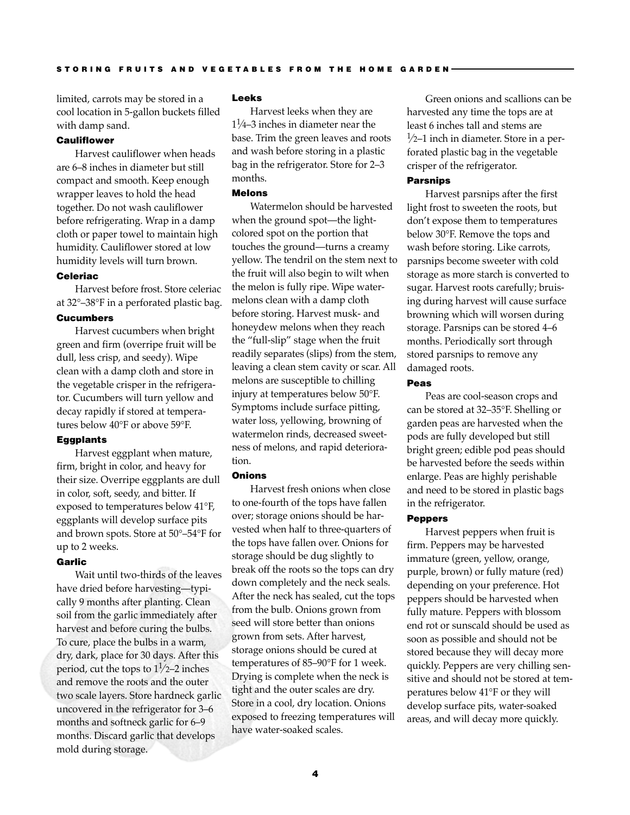limited, carrots may be stored in a cool location in 5-gallon buckets filled with damp sand.

### **Cauliflower**

Harvest cauliflower when heads are 6–8 inches in diameter but still compact and smooth. Keep enough wrapper leaves to hold the head together. Do not wash cauliflower before refrigerating. Wrap in a damp cloth or paper towel to maintain high humidity. Cauliflower stored at low humidity levels will turn brown.

#### Celeriac

Harvest before frost. Store celeriac at 32°–38°F in a perforated plastic bag.

## **Cucumbers**

Harvest cucumbers when bright green and firm (overripe fruit will be dull, less crisp, and seedy). Wipe clean with a damp cloth and store in the vegetable crisper in the refrigerator. Cucumbers will turn yellow and decay rapidly if stored at temperatures below 40°F or above 59°F.

#### **Eggplants**

Harvest eggplant when mature, firm, bright in color, and heavy for their size. Overripe eggplants are dull in color, soft, seedy, and bitter. If exposed to temperatures below 41°F, eggplants will develop surface pits and brown spots. Store at 50°–54°F for up to 2 weeks.

#### Garlic

Wait until two-thirds of the leaves have dried before harvesting—typically 9 months after planting. Clean soil from the garlic immediately after harvest and before curing the bulbs. To cure, place the bulbs in a warm, dry, dark, place for 30 days. After this period, cut the tops to  $1\frac{1}{2}$ –2 inches and remove the roots and the outer two scale layers. Store hardneck garlic uncovered in the refrigerator for 3–6 months and softneck garlic for 6–9 months. Discard garlic that develops mold during storage.

#### Leeks

Harvest leeks when they are 11⁄4–3 inches in diameter near the base. Trim the green leaves and roots and wash before storing in a plastic bag in the refrigerator. Store for 2–3 months.

## Melons

Watermelon should be harvested when the ground spot—the lightcolored spot on the portion that touches the ground—turns a creamy yellow. The tendril on the stem next to the fruit will also begin to wilt when the melon is fully ripe. Wipe watermelons clean with a damp cloth before storing. Harvest musk- and honeydew melons when they reach the "full-slip" stage when the fruit readily separates (slips) from the stem, leaving a clean stem cavity or scar. All melons are susceptible to chilling injury at temperatures below 50°F. Symptoms include surface pitting, water loss, yellowing, browning of watermelon rinds, decreased sweetness of melons, and rapid deterioration.

## **Onions**

Harvest fresh onions when close to one-fourth of the tops have fallen over; storage onions should be harvested when half to three-quarters of the tops have fallen over. Onions for storage should be dug slightly to break off the roots so the tops can dry down completely and the neck seals. After the neck has sealed, cut the tops from the bulb. Onions grown from seed will store better than onions grown from sets. After harvest, storage onions should be cured at temperatures of 85–90°F for 1 week. Drying is complete when the neck is tight and the outer scales are dry. Store in a cool, dry location. Onions exposed to freezing temperatures will have water-soaked scales.

Green onions and scallions can be harvested any time the tops are at least 6 inches tall and stems are  $\frac{1}{2}$ –1 inch in diameter. Store in a perforated plastic bag in the vegetable crisper of the refrigerator.

#### Parsnips

Harvest parsnips after the first light frost to sweeten the roots, but don't expose them to temperatures below 30°F. Remove the tops and wash before storing. Like carrots, parsnips become sweeter with cold storage as more starch is converted to sugar. Harvest roots carefully; bruising during harvest will cause surface browning which will worsen during storage. Parsnips can be stored 4–6 months. Periodically sort through stored parsnips to remove any damaged roots.

#### Peas

Peas are cool-season crops and can be stored at 32–35°F. Shelling or garden peas are harvested when the pods are fully developed but still bright green; edible pod peas should be harvested before the seeds within enlarge. Peas are highly perishable and need to be stored in plastic bags in the refrigerator.

#### **Peppers**

Harvest peppers when fruit is firm. Peppers may be harvested immature (green, yellow, orange, purple, brown) or fully mature (red) depending on your preference. Hot peppers should be harvested when fully mature. Peppers with blossom end rot or sunscald should be used as soon as possible and should not be stored because they will decay more quickly. Peppers are very chilling sensitive and should not be stored at temperatures below 41°F or they will develop surface pits, water-soaked areas, and will decay more quickly.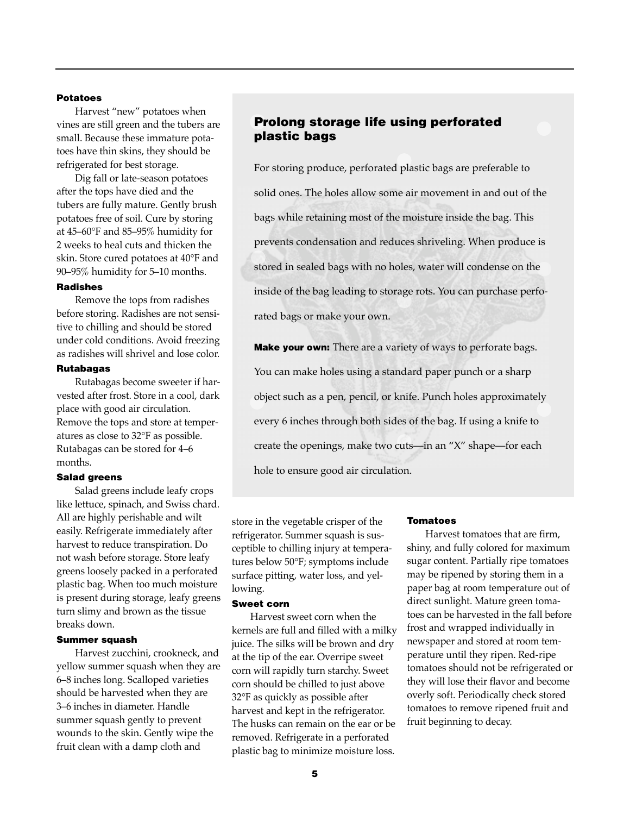#### Potatoes

Harvest "new" potatoes when vines are still green and the tubers are small. Because these immature potatoes have thin skins, they should be refrigerated for best storage.

Dig fall or late-season potatoes after the tops have died and the tubers are fully mature. Gently brush potatoes free of soil. Cure by storing at 45–60°F and 85–95% humidity for 2 weeks to heal cuts and thicken the skin. Store cured potatoes at 40°F and 90–95% humidity for 5–10 months.

#### Radishes

Remove the tops from radishes before storing. Radishes are not sensitive to chilling and should be stored under cold conditions. Avoid freezing as radishes will shrivel and lose color.

## Rutabagas

Rutabagas become sweeter if harvested after frost. Store in a cool, dark place with good air circulation. Remove the tops and store at temperatures as close to 32°F as possible. Rutabagas can be stored for 4–6 months.

#### Salad greens

Salad greens include leafy crops like lettuce, spinach, and Swiss chard. All are highly perishable and wilt easily. Refrigerate immediately after harvest to reduce transpiration. Do not wash before storage. Store leafy greens loosely packed in a perforated plastic bag. When too much moisture is present during storage, leafy greens turn slimy and brown as the tissue breaks down.

## Summer squash

Harvest zucchini, crookneck, and yellow summer squash when they are 6–8 inches long. Scalloped varieties should be harvested when they are 3–6 inches in diameter. Handle summer squash gently to prevent wounds to the skin. Gently wipe the fruit clean with a damp cloth and

# Prolong storage life using perforated plastic bags

For storing produce, perforated plastic bags are preferable to solid ones. The holes allow some air movement in and out of the bags while retaining most of the moisture inside the bag. This prevents condensation and reduces shriveling. When produce is stored in sealed bags with no holes, water will condense on the inside of the bag leading to storage rots. You can purchase perforated bags or make your own.

**Make your own:** There are a variety of ways to perforate bags. You can make holes using a standard paper punch or a sharp object such as a pen, pencil, or knife. Punch holes approximately every 6 inches through both sides of the bag. If using a knife to create the openings, make two cuts—in an "X" shape—for each hole to ensure good air circulation.

store in the vegetable crisper of the refrigerator. Summer squash is susceptible to chilling injury at temperatures below 50°F; symptoms include surface pitting, water loss, and yellowing.

#### Sweet corn

Harvest sweet corn when the kernels are full and filled with a milky juice. The silks will be brown and dry at the tip of the ear. Overripe sweet corn will rapidly turn starchy. Sweet corn should be chilled to just above 32°F as quickly as possible after harvest and kept in the refrigerator. The husks can remain on the ear or be removed. Refrigerate in a perforated plastic bag to minimize moisture loss.

#### **Tomatoes**

Harvest tomatoes that are firm, shiny, and fully colored for maximum sugar content. Partially ripe tomatoes may be ripened by storing them in a paper bag at room temperature out of direct sunlight. Mature green tomatoes can be harvested in the fall before frost and wrapped individually in newspaper and stored at room temperature until they ripen. Red-ripe tomatoes should not be refrigerated or they will lose their flavor and become overly soft. Periodically check stored tomatoes to remove ripened fruit and fruit beginning to decay.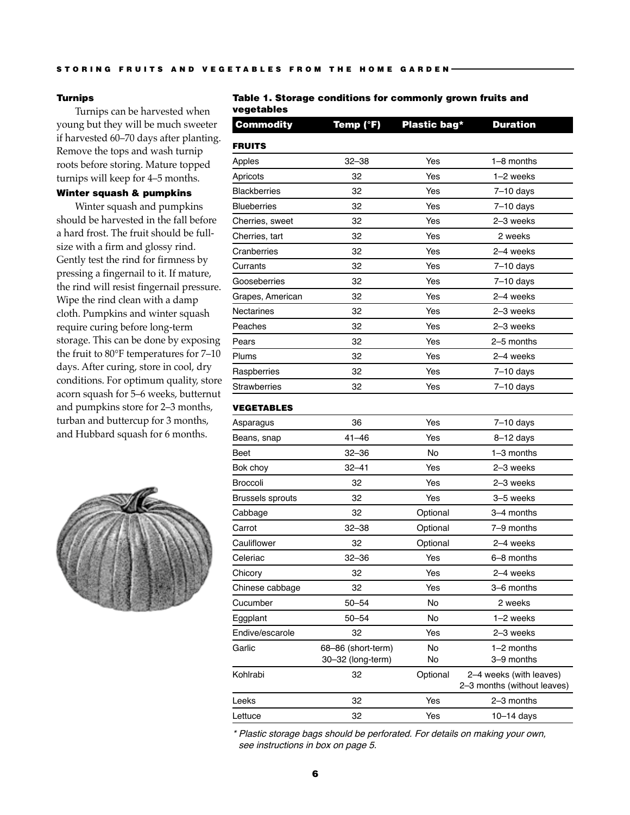#### **Turnips**

Turnips can be harvested when young but they will be much sweeter if harvested 60–70 days after planting. Remove the tops and wash turnip roots before storing. Mature topped turnips will keep for 4–5 months.

## Winter squash & pumpkins

Winter squash and pumpkins should be harvested in the fall before a hard frost. The fruit should be fullsize with a firm and glossy rind. Gently test the rind for firmness by pressing a fingernail to it. If mature, the rind will resist fingernail pressure. Wipe the rind clean with a damp cloth. Pumpkins and winter squash require curing before long-term storage. This can be done by exposing the fruit to 80°F temperatures for 7–10 days. After curing, store in cool, dry conditions. For optimum quality, store acorn squash for 5–6 weeks, butternut and pumpkins store for 2–3 months, turban and buttercup for 3 months, and Hubbard squash for 6 months.



#### Table 1. Storage conditions for commonly grown fruits and vegetables

| Commodity           | Temp (°F) | <b>Plastic bag*</b> | <b>Duration</b> |
|---------------------|-----------|---------------------|-----------------|
| <b>FRUITS</b>       |           |                     |                 |
| Apples              | $32 - 38$ | Yes                 | $1-8$ months    |
| Apricots            | 32        | Yes                 | $1-2$ weeks     |
| <b>Blackberries</b> | 32        | Yes                 | $7 - 10$ days   |
| <b>Blueberries</b>  | 32        | Yes                 | $7 - 10$ days   |
| Cherries, sweet     | 32        | Yes                 | 2-3 weeks       |
| Cherries, tart      | 32        | Yes                 | 2 weeks         |
| Cranberries         | 32        | Yes                 | 2-4 weeks       |
| Currants            | 32        | Yes                 | $7-10$ days     |
| Gooseberries        | 32        | Yes                 | $7 - 10$ days   |
| Grapes, American    | 32        | Yes                 | 2-4 weeks       |
| <b>Nectarines</b>   | 32        | Yes                 | 2-3 weeks       |
| Peaches             | 32        | Yes                 | 2-3 weeks       |
| Pears               | 32        | Yes                 | 2–5 months      |
| Plums               | 32        | Yes                 | 2-4 weeks       |
| Raspberries         | 32        | Yes                 | $7 - 10$ days   |
| <b>Strawberries</b> | 32        | Yes                 | $7 - 10$ days   |
|                     |           |                     |                 |

#### VEGETABLES

| Asparagus               | 36                                      | Yes             | $7-10$ days                                            |
|-------------------------|-----------------------------------------|-----------------|--------------------------------------------------------|
| Beans, snap             | $41 - 46$                               | Yes             | $8-12$ days                                            |
| Beet                    | $32 - 36$                               | No              | 1-3 months                                             |
| Bok choy                | $32 - 41$                               | Yes             | 2-3 weeks                                              |
| <b>Broccoli</b>         | 32                                      | Yes             | 2-3 weeks                                              |
| <b>Brussels sprouts</b> | 32                                      | Yes             | 3-5 weeks                                              |
| Cabbage                 | 32                                      | Optional        | 3-4 months                                             |
| Carrot                  | $32 - 38$                               | Optional        | 7-9 months                                             |
| Cauliflower             | 32                                      | Optional        | 2-4 weeks                                              |
| Celeriac                | $32 - 36$                               | Yes             | 6–8 months                                             |
| Chicory                 | 32                                      | Yes             | 2-4 weeks                                              |
| Chinese cabbage         | 32                                      | Yes             | 3-6 months                                             |
| Cucumber                | $50 - 54$                               | <b>No</b>       | 2 weeks                                                |
| Eggplant                | $50 - 54$                               | No              | 1-2 weeks                                              |
| Endive/escarole         | 32                                      | Yes             | 2-3 weeks                                              |
| Garlic                  | 68-86 (short-term)<br>30-32 (long-term) | <b>No</b><br>No | $1-2$ months<br>3-9 months                             |
| Kohlrabi                | 32                                      | Optional        | 2–4 weeks (with leaves)<br>2-3 months (without leaves) |
| Leeks                   | 32                                      | Yes             | 2-3 months                                             |
| Lettuce                 | 32                                      | Yes             | $10-14$ days                                           |
|                         |                                         |                 |                                                        |

\* Plastic storage bags should be perforated. For details on making your own, see instructions in box on page 5.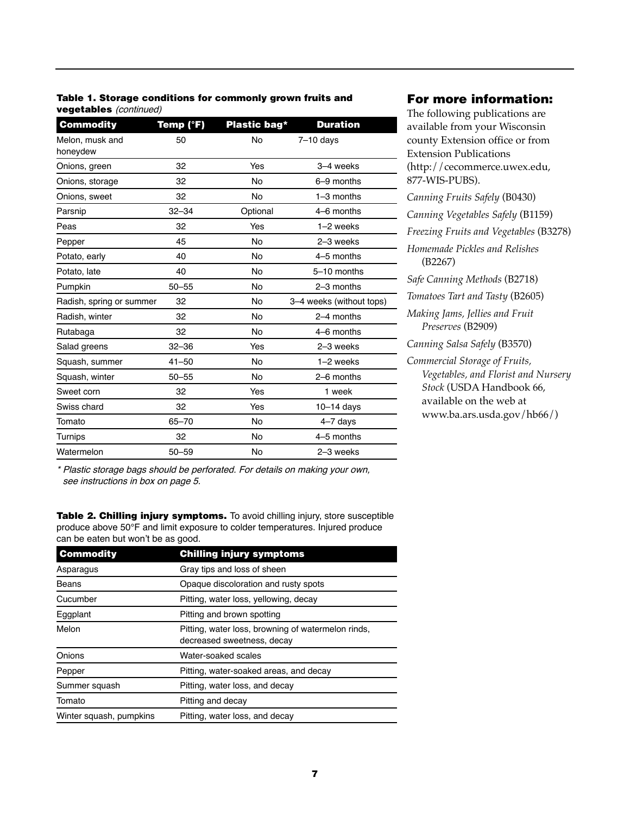Table 1. Storage conditions for commonly grown fruits and vegetables (continued)

| <b>Commodity</b>            | Temp (°F) | Plastic bag* | <b>Duration</b>          |
|-----------------------------|-----------|--------------|--------------------------|
| Melon, musk and<br>honeydew | 50        | <b>No</b>    | $7-10$ days              |
| Onions, green               | 32        | Yes          | 3-4 weeks                |
| Onions, storage             | 32        | <b>No</b>    | 6-9 months               |
| Onions, sweet               | 32        | No           | $1-3$ months             |
| Parsnip                     | $32 - 34$ | Optional     | 4-6 months               |
| Peas                        | 32        | Yes          | 1-2 weeks                |
| Pepper                      | 45        | <b>No</b>    | 2-3 weeks                |
| Potato, early               | 40        | <b>No</b>    | 4-5 months               |
| Potato, late                | 40        | <b>No</b>    | 5-10 months              |
| Pumpkin                     | $50 - 55$ | No           | 2-3 months               |
| Radish, spring or summer    | 32        | <b>No</b>    | 3-4 weeks (without tops) |
| Radish, winter              | 32        | <b>No</b>    | 2-4 months               |
| Rutabaga                    | 32        | <b>No</b>    | 4-6 months               |
| Salad greens                | $32 - 36$ | Yes          | 2-3 weeks                |
| Squash, summer              | $41 - 50$ | No           | 1-2 weeks                |
| Squash, winter              | $50 - 55$ | No           | 2-6 months               |
| Sweet corn                  | 32        | Yes          | 1 week                   |
| Swiss chard                 | 32        | Yes          | $10-14$ days             |
| Tomato                      | 65-70     | No           | 4-7 days                 |
| Turnips                     | 32        | <b>No</b>    | 4-5 months               |
| Watermelon                  | $50 - 59$ | <b>No</b>    | 2-3 weeks                |

# For more information:

The following publications are available from your Wisconsin county Extension office or from Extension Publications (http://cecommerce.uwex.edu, 877-WIS-PUBS). *Canning Fruits Safely* (B0430) *Canning Vegetables Safely* (B1159) *Freezing Fruits and Vegetables* (B3278) *Homemade Pickles and Relishes* (B2267) *Safe Canning Methods* (B2718) *Tomatoes Tart and Tasty* (B2605) *Making Jams, Jellies and Fruit Preserves* (B2909) *Canning Salsa Safely* (B3570) *Commercial Storage of Fruits, Vegetables, and Florist and Nursery Stock* (USDA Handbook 66, available on the web at www.ba.ars.usda.gov/hb66/)

\* Plastic storage bags should be perforated. For details on making your own, see instructions in box on page 5.

Table 2. Chilling injury symptoms. To avoid chilling injury, store susceptible produce above 50°F and limit exposure to colder temperatures. Injured produce can be eaten but won't be as good.

| <b>Commodity</b>        | <b>Chilling injury symptoms</b>                                                  |  |
|-------------------------|----------------------------------------------------------------------------------|--|
| Asparagus               | Gray tips and loss of sheen                                                      |  |
| Beans                   | Opaque discoloration and rusty spots                                             |  |
| Cucumber                | Pitting, water loss, yellowing, decay                                            |  |
| Eggplant                | Pitting and brown spotting                                                       |  |
| Melon                   | Pitting, water loss, browning of watermelon rinds,<br>decreased sweetness, decay |  |
| Onions                  | Water-soaked scales                                                              |  |
| Pepper                  | Pitting, water-soaked areas, and decay                                           |  |
| Summer squash           | Pitting, water loss, and decay                                                   |  |
| Tomato                  | Pitting and decay                                                                |  |
| Winter squash, pumpkins | Pitting, water loss, and decay                                                   |  |